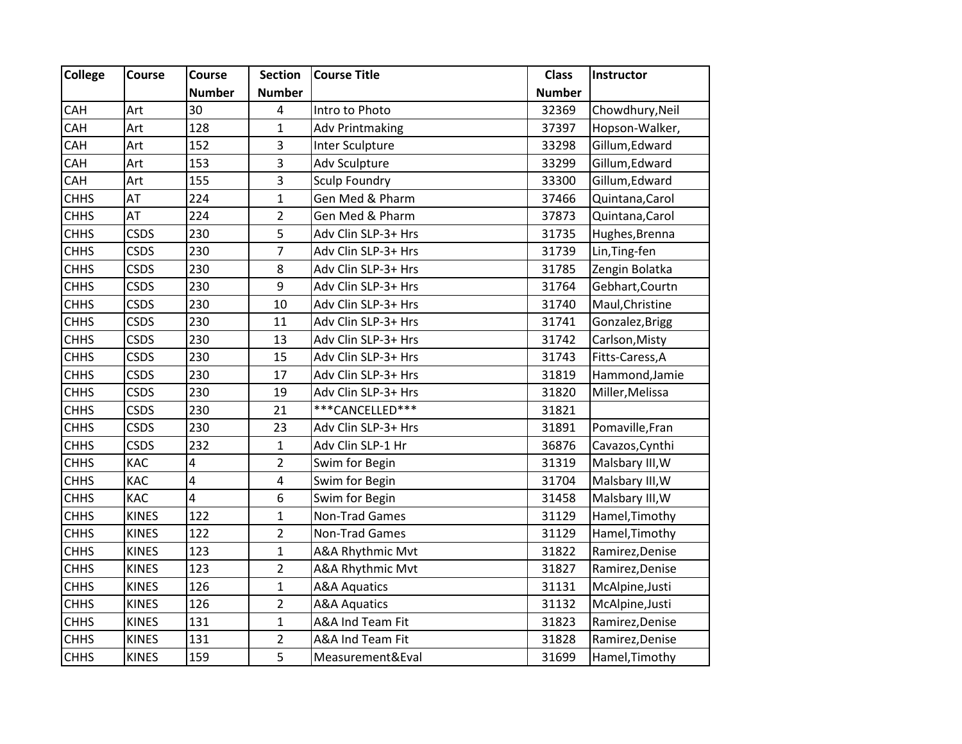| <b>College</b> | Course       | Course        | <b>Section</b>          | <b>Course Title</b>     | <b>Class</b>  | Instructor      |
|----------------|--------------|---------------|-------------------------|-------------------------|---------------|-----------------|
|                |              | <b>Number</b> | <b>Number</b>           |                         | <b>Number</b> |                 |
| CAH            | Art          | 30            | $\overline{\mathbf{4}}$ | Intro to Photo          | 32369         | Chowdhury, Neil |
| CAH            | Art          | 128           | $\mathbf{1}$            | <b>Adv Printmaking</b>  | 37397         | Hopson-Walker,  |
| CAH            | Art          | 152           | $\mathsf 3$             | Inter Sculpture         | 33298         | Gillum, Edward  |
| CAH            | Art          | 153           | $\overline{3}$          | Adv Sculpture           | 33299         | Gillum, Edward  |
| CAH            | Art          | 155           | 3                       | Sculp Foundry           | 33300         | Gillum, Edward  |
| <b>CHHS</b>    | AT           | 224           | $\mathbf{1}$            | Gen Med & Pharm         | 37466         | Quintana, Carol |
| <b>CHHS</b>    | AT           | 224           | $\overline{2}$          | Gen Med & Pharm         | 37873         | Quintana, Carol |
| <b>CHHS</b>    | <b>CSDS</b>  | 230           | 5                       | Adv Clin SLP-3+ Hrs     | 31735         | Hughes, Brenna  |
| <b>CHHS</b>    | <b>CSDS</b>  | 230           | $\overline{7}$          | Adv Clin SLP-3+ Hrs     | 31739         | Lin, Ting-fen   |
| <b>CHHS</b>    | <b>CSDS</b>  | 230           | 8                       | Adv Clin SLP-3+ Hrs     | 31785         | Zengin Bolatka  |
| <b>CHHS</b>    | <b>CSDS</b>  | 230           | 9                       | Adv Clin SLP-3+ Hrs     | 31764         | Gebhart, Courtn |
| <b>CHHS</b>    | <b>CSDS</b>  | 230           | 10                      | Adv Clin SLP-3+ Hrs     | 31740         | Maul, Christine |
| <b>CHHS</b>    | <b>CSDS</b>  | 230           | 11                      | Adv Clin SLP-3+ Hrs     | 31741         | Gonzalez, Brigg |
| <b>CHHS</b>    | <b>CSDS</b>  | 230           | 13                      | Adv Clin SLP-3+ Hrs     | 31742         | Carlson, Misty  |
| <b>CHHS</b>    | <b>CSDS</b>  | 230           | 15                      | Adv Clin SLP-3+ Hrs     | 31743         | Fitts-Caress, A |
| <b>CHHS</b>    | <b>CSDS</b>  | 230           | 17                      | Adv Clin SLP-3+ Hrs     | 31819         | Hammond, Jamie  |
| <b>CHHS</b>    | <b>CSDS</b>  | 230           | 19                      | Adv Clin SLP-3+ Hrs     | 31820         | Miller, Melissa |
| <b>CHHS</b>    | <b>CSDS</b>  | 230           | 21                      | ***CANCELLED***         | 31821         |                 |
| <b>CHHS</b>    | <b>CSDS</b>  | 230           | 23                      | Adv Clin SLP-3+ Hrs     | 31891         | Pomaville, Fran |
| <b>CHHS</b>    | <b>CSDS</b>  | 232           | $\mathbf 1$             | Adv Clin SLP-1 Hr       | 36876         | Cavazos, Cynthi |
| <b>CHHS</b>    | KAC          | 4             | $\overline{2}$          | Swim for Begin          | 31319         | Malsbary III, W |
| <b>CHHS</b>    | KAC          | 4             | $\pmb{4}$               | Swim for Begin          | 31704         | Malsbary III, W |
| <b>CHHS</b>    | <b>KAC</b>   | 4             | 6                       | Swim for Begin          | 31458         | Malsbary III, W |
| <b>CHHS</b>    | <b>KINES</b> | 122           | $\mathbf{1}$            | Non-Trad Games          | 31129         | Hamel, Timothy  |
| <b>CHHS</b>    | <b>KINES</b> | 122           | $\overline{2}$          | Non-Trad Games          | 31129         | Hamel, Timothy  |
| <b>CHHS</b>    | <b>KINES</b> | 123           | $\mathbf 1$             | A&A Rhythmic Mvt        | 31822         | Ramirez, Denise |
| <b>CHHS</b>    | <b>KINES</b> | 123           | $\overline{2}$          | A&A Rhythmic Mvt        | 31827         | Ramirez, Denise |
| <b>CHHS</b>    | <b>KINES</b> | 126           | $\mathbf{1}$            | <b>A&amp;A Aquatics</b> | 31131         | McAlpine, Justi |
| <b>CHHS</b>    | <b>KINES</b> | 126           | $\mathbf 2$             | <b>A&amp;A Aquatics</b> | 31132         | McAlpine, Justi |
| <b>CHHS</b>    | <b>KINES</b> | 131           | $\mathbf 1$             | A&A Ind Team Fit        | 31823         | Ramirez, Denise |
| <b>CHHS</b>    | <b>KINES</b> | 131           | $\overline{2}$          | A&A Ind Team Fit        | 31828         | Ramirez, Denise |
| <b>CHHS</b>    | <b>KINES</b> | 159           | 5                       | Measurement&Eval        | 31699         | Hamel, Timothy  |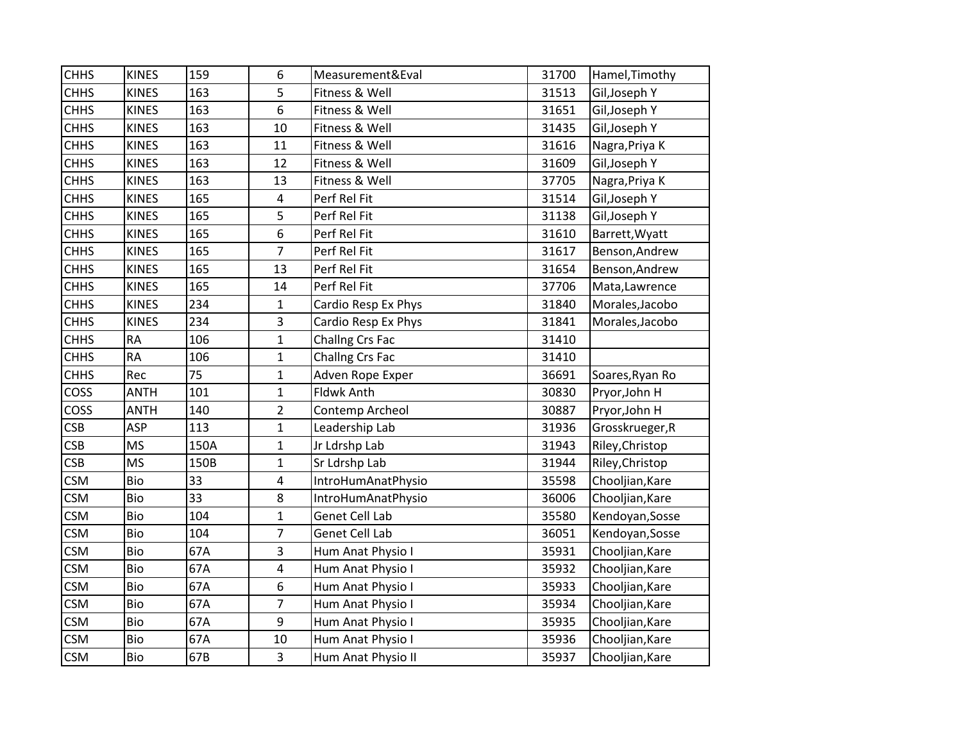| <b>CHHS</b> | <b>KINES</b> | 159  | 6              | Measurement&Eval    | 31700 | Hamel, Timothy  |
|-------------|--------------|------|----------------|---------------------|-------|-----------------|
| <b>CHHS</b> | <b>KINES</b> | 163  | 5              | Fitness & Well      | 31513 | Gil, Joseph Y   |
| <b>CHHS</b> | <b>KINES</b> | 163  | 6              | Fitness & Well      | 31651 | Gil, Joseph Y   |
| <b>CHHS</b> | <b>KINES</b> | 163  | 10             | Fitness & Well      | 31435 | Gil, Joseph Y   |
| <b>CHHS</b> | <b>KINES</b> | 163  | 11             | Fitness & Well      | 31616 | Nagra, Priya K  |
| <b>CHHS</b> | <b>KINES</b> | 163  | 12             | Fitness & Well      | 31609 | Gil, Joseph Y   |
| <b>CHHS</b> | <b>KINES</b> | 163  | 13             | Fitness & Well      | 37705 | Nagra, Priya K  |
| <b>CHHS</b> | <b>KINES</b> | 165  | 4              | Perf Rel Fit        | 31514 | Gil, Joseph Y   |
| <b>CHHS</b> | <b>KINES</b> | 165  | 5              | Perf Rel Fit        | 31138 | Gil, Joseph Y   |
| <b>CHHS</b> | <b>KINES</b> | 165  | 6              | Perf Rel Fit        | 31610 | Barrett, Wyatt  |
| <b>CHHS</b> | <b>KINES</b> | 165  | $\overline{7}$ | Perf Rel Fit        | 31617 | Benson, Andrew  |
| <b>CHHS</b> | <b>KINES</b> | 165  | 13             | Perf Rel Fit        | 31654 | Benson, Andrew  |
| <b>CHHS</b> | <b>KINES</b> | 165  | 14             | Perf Rel Fit        | 37706 | Mata, Lawrence  |
| <b>CHHS</b> | <b>KINES</b> | 234  | $\mathbf{1}$   | Cardio Resp Ex Phys | 31840 | Morales, Jacobo |
| <b>CHHS</b> | <b>KINES</b> | 234  | 3              | Cardio Resp Ex Phys | 31841 | Morales, Jacobo |
| <b>CHHS</b> | <b>RA</b>    | 106  | $\mathbf{1}$   | Challng Crs Fac     | 31410 |                 |
| <b>CHHS</b> | <b>RA</b>    | 106  | $\mathbf{1}$   | Challng Crs Fac     | 31410 |                 |
| <b>CHHS</b> | Rec          | 75   | $\mathbf 1$    | Adven Rope Exper    | 36691 | Soares, Ryan Ro |
| <b>COSS</b> | <b>ANTH</b>  | 101  | $\mathbf{1}$   | Fldwk Anth          | 30830 | Pryor, John H   |
| COSS        | <b>ANTH</b>  | 140  | $\overline{2}$ | Contemp Archeol     | 30887 | Pryor, John H   |
| <b>CSB</b>  | <b>ASP</b>   | 113  | $\mathbf{1}$   | Leadership Lab      | 31936 | Grosskrueger, R |
| <b>CSB</b>  | <b>MS</b>    | 150A | $\mathbf{1}$   | Jr Ldrshp Lab       | 31943 | Riley, Christop |
| <b>CSB</b>  | <b>MS</b>    | 150B | $\mathbf 1$    | Sr Ldrshp Lab       | 31944 | Riley, Christop |
| <b>CSM</b>  | Bio          | 33   | 4              | IntroHumAnatPhysio  | 35598 | Chooljian, Kare |
| <b>CSM</b>  | Bio          | 33   | 8              | IntroHumAnatPhysio  | 36006 | Chooljian, Kare |
| <b>CSM</b>  | Bio          | 104  | $\mathbf{1}$   | Genet Cell Lab      | 35580 | Kendoyan, Sosse |
| <b>CSM</b>  | Bio          | 104  | $\overline{7}$ | Genet Cell Lab      | 36051 | Kendoyan, Sosse |
| <b>CSM</b>  | Bio          | 67A  | 3              | Hum Anat Physio I   | 35931 | Chooljian, Kare |
| <b>CSM</b>  | Bio          | 67A  | 4              | Hum Anat Physio I   | 35932 | Chooljian, Kare |
| <b>CSM</b>  | Bio          | 67A  | 6              | Hum Anat Physio I   | 35933 | Chooljian, Kare |
| <b>CSM</b>  | Bio          | 67A  | $\overline{7}$ | Hum Anat Physio I   | 35934 | Chooljian, Kare |
| <b>CSM</b>  | Bio          | 67A  | 9              | Hum Anat Physio I   | 35935 | Chooljian, Kare |
| <b>CSM</b>  | Bio          | 67A  | 10             | Hum Anat Physio I   | 35936 | Chooljian, Kare |
| <b>CSM</b>  | Bio          | 67B  | $\overline{3}$ | Hum Anat Physio II  | 35937 | Chooljian, Kare |
|             |              |      |                |                     |       |                 |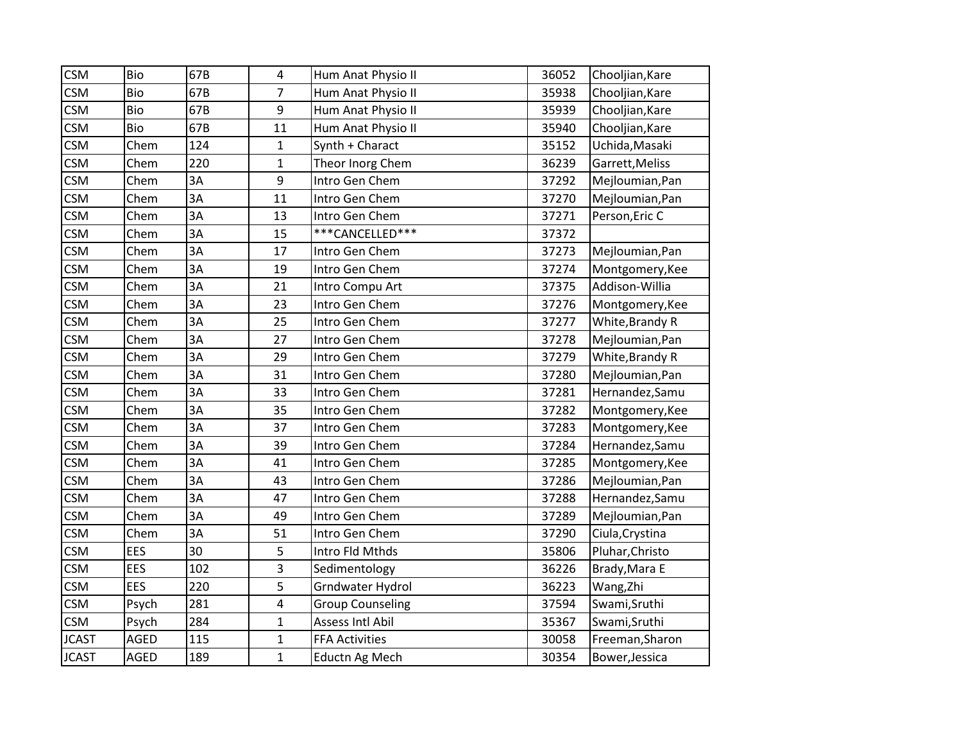| <b>CSM</b>   | Bio         | 67B | 4                | Hum Anat Physio II      | 36052 | Chooljian, Kare |
|--------------|-------------|-----|------------------|-------------------------|-------|-----------------|
| <b>CSM</b>   | Bio         | 67B | $\overline{7}$   | Hum Anat Physio II      | 35938 | Chooljian, Kare |
| <b>CSM</b>   | <b>Bio</b>  | 67B | 9                | Hum Anat Physio II      | 35939 | Chooljian, Kare |
| <b>CSM</b>   | Bio         | 67B | 11               | Hum Anat Physio II      | 35940 | Chooljian, Kare |
| <b>CSM</b>   | Chem        | 124 | $\mathbf{1}$     | Synth + Charact         | 35152 | Uchida, Masaki  |
| <b>CSM</b>   | Chem        | 220 | $\mathbf 1$      | Theor Inorg Chem        | 36239 | Garrett, Meliss |
| <b>CSM</b>   | Chem        | 3A  | $\boldsymbol{9}$ | Intro Gen Chem          | 37292 | Mejloumian, Pan |
| <b>CSM</b>   | Chem        | 3A  | 11               | Intro Gen Chem          | 37270 | Mejloumian, Pan |
| <b>CSM</b>   | Chem        | 3A  | 13               | Intro Gen Chem          | 37271 | Person, Eric C  |
| <b>CSM</b>   | Chem        | 3A  | 15               | ***CANCELLED***         | 37372 |                 |
| <b>CSM</b>   | Chem        | 3A  | 17               | Intro Gen Chem          | 37273 | Mejloumian, Pan |
| <b>CSM</b>   | Chem        | 3A  | 19               | Intro Gen Chem          | 37274 | Montgomery, Kee |
| <b>CSM</b>   | Chem        | 3A  | 21               | Intro Compu Art         | 37375 | Addison-Willia  |
| <b>CSM</b>   | Chem        | 3A  | 23               | Intro Gen Chem          | 37276 | Montgomery, Kee |
| <b>CSM</b>   | Chem        | 3A  | 25               | Intro Gen Chem          | 37277 | White, Brandy R |
| <b>CSM</b>   | Chem        | 3A  | 27               | Intro Gen Chem          | 37278 | Mejloumian, Pan |
| <b>CSM</b>   | Chem        | 3A  | 29               | Intro Gen Chem          | 37279 | White, Brandy R |
| <b>CSM</b>   | Chem        | 3A  | 31               | Intro Gen Chem          | 37280 | Mejloumian, Pan |
| <b>CSM</b>   | Chem        | 3A  | 33               | Intro Gen Chem          | 37281 | Hernandez, Samu |
| <b>CSM</b>   | Chem        | 3A  | 35               | Intro Gen Chem          | 37282 | Montgomery, Kee |
| <b>CSM</b>   | Chem        | 3A  | 37               | Intro Gen Chem          | 37283 | Montgomery, Kee |
| <b>CSM</b>   | Chem        | 3A  | 39               | Intro Gen Chem          | 37284 | Hernandez, Samu |
| <b>CSM</b>   | Chem        | 3A  | 41               | Intro Gen Chem          | 37285 | Montgomery, Kee |
| <b>CSM</b>   | Chem        | 3A  | 43               | Intro Gen Chem          | 37286 | Mejloumian, Pan |
| <b>CSM</b>   | Chem        | 3A  | 47               | Intro Gen Chem          | 37288 | Hernandez, Samu |
| <b>CSM</b>   | Chem        | 3A  | 49               | Intro Gen Chem          | 37289 | Mejloumian, Pan |
| <b>CSM</b>   | Chem        | 3A  | 51               | Intro Gen Chem          | 37290 | Ciula, Crystina |
| <b>CSM</b>   | EES         | 30  | 5                | Intro Fld Mthds         | 35806 | Pluhar, Christo |
| <b>CSM</b>   | <b>EES</b>  | 102 | 3                | Sedimentology           | 36226 | Brady, Mara E   |
| <b>CSM</b>   | EES         | 220 | 5                | Grndwater Hydrol        | 36223 | Wang, Zhi       |
| <b>CSM</b>   | Psych       | 281 | 4                | <b>Group Counseling</b> | 37594 | Swami, Sruthi   |
| <b>CSM</b>   | Psych       | 284 | $\mathbf 1$      | Assess Intl Abil        | 35367 | Swami, Sruthi   |
| <b>JCAST</b> | <b>AGED</b> | 115 | $\mathbf{1}$     | <b>FFA Activities</b>   | 30058 | Freeman, Sharon |
| <b>JCAST</b> | <b>AGED</b> | 189 | $\mathbf{1}$     | Eductn Ag Mech          | 30354 | Bower, Jessica  |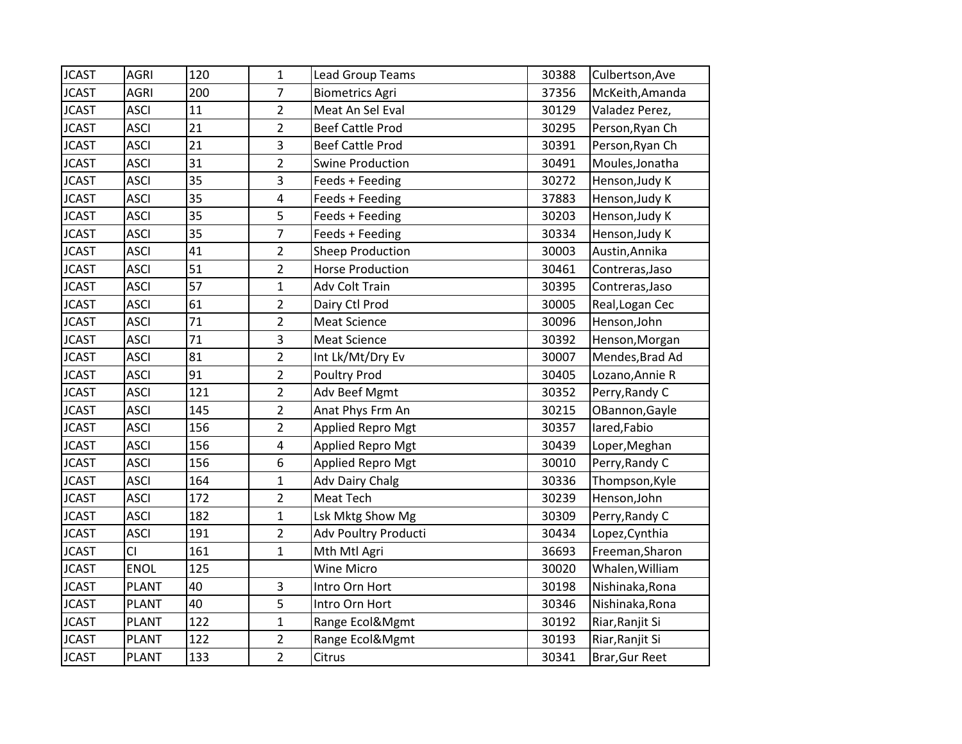| <b>JCAST</b> | <b>AGRI</b>  | 120 | $\mathbf{1}$            | <b>Lead Group Teams</b>  | 30388 | Culbertson, Ave |
|--------------|--------------|-----|-------------------------|--------------------------|-------|-----------------|
| <b>JCAST</b> | <b>AGRI</b>  | 200 | $\overline{7}$          | <b>Biometrics Agri</b>   | 37356 | McKeith, Amanda |
| <b>JCAST</b> | <b>ASCI</b>  | 11  | $\overline{2}$          | Meat An Sel Eval         | 30129 | Valadez Perez,  |
| <b>JCAST</b> | <b>ASCI</b>  | 21  | $\overline{2}$          | <b>Beef Cattle Prod</b>  | 30295 | Person, Ryan Ch |
| <b>JCAST</b> | <b>ASCI</b>  | 21  | 3                       | <b>Beef Cattle Prod</b>  | 30391 | Person, Ryan Ch |
| <b>JCAST</b> | <b>ASCI</b>  | 31  | $\overline{2}$          | <b>Swine Production</b>  | 30491 | Moules, Jonatha |
| <b>JCAST</b> | <b>ASCI</b>  | 35  | 3                       | Feeds + Feeding          | 30272 | Henson, Judy K  |
| <b>JCAST</b> | <b>ASCI</b>  | 35  | $\overline{\mathbf{4}}$ | Feeds + Feeding          | 37883 | Henson, Judy K  |
| <b>JCAST</b> | <b>ASCI</b>  | 35  | 5                       | Feeds + Feeding          | 30203 | Henson, Judy K  |
| <b>JCAST</b> | <b>ASCI</b>  | 35  | $\overline{7}$          | Feeds + Feeding          | 30334 | Henson, Judy K  |
| <b>JCAST</b> | <b>ASCI</b>  | 41  | $\overline{2}$          | <b>Sheep Production</b>  | 30003 | Austin, Annika  |
| <b>JCAST</b> | <b>ASCI</b>  | 51  | $\overline{2}$          | <b>Horse Production</b>  | 30461 | Contreras, Jaso |
| <b>JCAST</b> | <b>ASCI</b>  | 57  | $\mathbf{1}$            | Adv Colt Train           | 30395 | Contreras, Jaso |
| <b>JCAST</b> | <b>ASCI</b>  | 61  | $\overline{2}$          | Dairy Ctl Prod           | 30005 | Real, Logan Cec |
| <b>JCAST</b> | <b>ASCI</b>  | 71  | $\overline{2}$          | <b>Meat Science</b>      | 30096 | Henson, John    |
| <b>JCAST</b> | <b>ASCI</b>  | 71  | 3                       | <b>Meat Science</b>      | 30392 | Henson, Morgan  |
| <b>JCAST</b> | <b>ASCI</b>  | 81  | $\overline{2}$          | Int Lk/Mt/Dry Ev         | 30007 | Mendes, Brad Ad |
| <b>JCAST</b> | <b>ASCI</b>  | 91  | $\overline{2}$          | <b>Poultry Prod</b>      | 30405 | Lozano, Annie R |
| <b>JCAST</b> | <b>ASCI</b>  | 121 | $\overline{2}$          | Adv Beef Mgmt            | 30352 | Perry, Randy C  |
| <b>JCAST</b> | <b>ASCI</b>  | 145 | $\overline{2}$          | Anat Phys Frm An         | 30215 | OBannon, Gayle  |
| <b>JCAST</b> | <b>ASCI</b>  | 156 | $\overline{2}$          | <b>Applied Repro Mgt</b> | 30357 | lared, Fabio    |
| <b>JCAST</b> | <b>ASCI</b>  | 156 | 4                       | Applied Repro Mgt        | 30439 | Loper, Meghan   |
| <b>JCAST</b> | <b>ASCI</b>  | 156 | 6                       | <b>Applied Repro Mgt</b> | 30010 | Perry, Randy C  |
| <b>JCAST</b> | <b>ASCI</b>  | 164 | $\mathbf{1}$            | <b>Adv Dairy Chalg</b>   | 30336 | Thompson, Kyle  |
| <b>JCAST</b> | <b>ASCI</b>  | 172 | $\overline{2}$          | Meat Tech                | 30239 | Henson, John    |
| <b>JCAST</b> | <b>ASCI</b>  | 182 | $\mathbf 1$             | Lsk Mktg Show Mg         | 30309 | Perry, Randy C  |
| <b>JCAST</b> | <b>ASCI</b>  | 191 | $\overline{2}$          | Adv Poultry Producti     | 30434 | Lopez, Cynthia  |
| <b>JCAST</b> | CI           | 161 | $\mathbf{1}$            | Mth Mtl Agri             | 36693 | Freeman, Sharon |
| <b>JCAST</b> | <b>ENOL</b>  | 125 |                         | <b>Wine Micro</b>        | 30020 | Whalen, William |
| <b>JCAST</b> | <b>PLANT</b> | 40  | 3                       | Intro Orn Hort           | 30198 | Nishinaka, Rona |
| <b>JCAST</b> | <b>PLANT</b> | 40  | 5                       | Intro Orn Hort           | 30346 | Nishinaka, Rona |
| <b>JCAST</b> | <b>PLANT</b> | 122 | $\mathbf{1}$            | Range Ecol&Mgmt          | 30192 | Riar, Ranjit Si |
| <b>JCAST</b> | <b>PLANT</b> | 122 | $\overline{2}$          | Range Ecol&Mgmt          | 30193 | Riar, Ranjit Si |
| <b>JCAST</b> | <b>PLANT</b> | 133 | $\overline{2}$          | Citrus                   | 30341 | Brar, Gur Reet  |
|              |              |     |                         |                          |       |                 |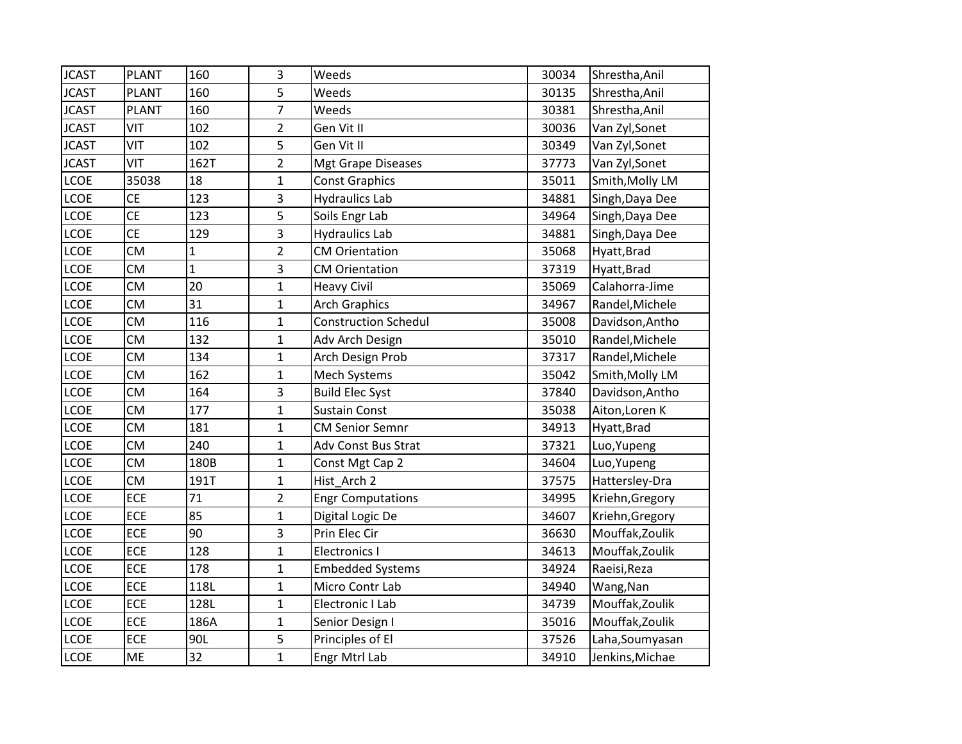| <b>JCAST</b> | <b>PLANT</b> | 160          | 3              | Weeds                       | 30034 | Shrestha, Anil  |
|--------------|--------------|--------------|----------------|-----------------------------|-------|-----------------|
| <b>JCAST</b> | <b>PLANT</b> | 160          | 5              | Weeds                       | 30135 | Shrestha, Anil  |
| <b>JCAST</b> | <b>PLANT</b> | 160          | $\overline{7}$ | Weeds                       | 30381 | Shrestha, Anil  |
| <b>JCAST</b> | VIT          | 102          | $\overline{2}$ | Gen Vit II                  | 30036 | Van Zyl, Sonet  |
| <b>JCAST</b> | VIT          | 102          | 5              | Gen Vit II                  | 30349 | Van Zyl, Sonet  |
| <b>JCAST</b> | VIT          | 162T         | $\overline{2}$ | <b>Mgt Grape Diseases</b>   | 37773 | Van Zyl, Sonet  |
| <b>LCOE</b>  | 35038        | 18           | $\mathbf 1$    | <b>Const Graphics</b>       | 35011 | Smith, Molly LM |
| <b>LCOE</b>  | <b>CE</b>    | 123          | 3              | <b>Hydraulics Lab</b>       | 34881 | Singh, Daya Dee |
| <b>LCOE</b>  | <b>CE</b>    | 123          | 5              | Soils Engr Lab              | 34964 | Singh, Daya Dee |
| <b>LCOE</b>  | <b>CE</b>    | 129          | 3              | <b>Hydraulics Lab</b>       | 34881 | Singh, Daya Dee |
| <b>LCOE</b>  | <b>CM</b>    | $\mathbf{1}$ | $\overline{2}$ | <b>CM Orientation</b>       | 35068 | Hyatt, Brad     |
| <b>LCOE</b>  | <b>CM</b>    | $\mathbf{1}$ | 3              | <b>CM Orientation</b>       | 37319 | Hyatt, Brad     |
| <b>LCOE</b>  | <b>CM</b>    | 20           | $\mathbf 1$    | <b>Heavy Civil</b>          | 35069 | Calahorra-Jime  |
| <b>LCOE</b>  | <b>CM</b>    | 31           | $\mathbf{1}$   | <b>Arch Graphics</b>        | 34967 | Randel, Michele |
| <b>LCOE</b>  | <b>CM</b>    | 116          | $\mathbf{1}$   | <b>Construction Schedul</b> | 35008 | Davidson, Antho |
| <b>LCOE</b>  | <b>CM</b>    | 132          | $\mathbf{1}$   | Adv Arch Design             | 35010 | Randel, Michele |
| <b>LCOE</b>  | <b>CM</b>    | 134          | $\mathbf 1$    | Arch Design Prob            | 37317 | Randel, Michele |
| <b>LCOE</b>  | <b>CM</b>    | 162          | $\mathbf{1}$   | Mech Systems                | 35042 | Smith, Molly LM |
| <b>LCOE</b>  | <b>CM</b>    | 164          | 3              | <b>Build Elec Syst</b>      | 37840 | Davidson, Antho |
| <b>LCOE</b>  | <b>CM</b>    | 177          | $\mathbf 1$    | <b>Sustain Const</b>        | 35038 | Aiton, Loren K  |
| <b>LCOE</b>  | <b>CM</b>    | 181          | $\mathbf 1$    | <b>CM Senior Semnr</b>      | 34913 | Hyatt, Brad     |
| <b>LCOE</b>  | <b>CM</b>    | 240          | $\mathbf{1}$   | Adv Const Bus Strat         | 37321 | Luo, Yupeng     |
| <b>LCOE</b>  | <b>CM</b>    | 180B         | $\mathbf{1}$   | Const Mgt Cap 2             | 34604 | Luo, Yupeng     |
| LCOE         | <b>CM</b>    | 191T         | $\mathbf{1}$   | Hist_Arch 2                 | 37575 | Hattersley-Dra  |
| <b>LCOE</b>  | ECE          | 71           | $\overline{2}$ | <b>Engr Computations</b>    | 34995 | Kriehn, Gregory |
| <b>LCOE</b>  | ECE          | 85           | $\mathbf{1}$   | Digital Logic De            | 34607 | Kriehn, Gregory |
| <b>LCOE</b>  | ECE          | 90           | 3              | Prin Elec Cir               | 36630 | Mouffak, Zoulik |
| <b>LCOE</b>  | <b>ECE</b>   | 128          | $\overline{1}$ | <b>Electronics I</b>        | 34613 | Mouffak, Zoulik |
| <b>LCOE</b>  | ECE          | 178          | $\mathbf 1$    | <b>Embedded Systems</b>     | 34924 | Raeisi, Reza    |
| <b>LCOE</b>  | <b>ECE</b>   | 118L         | $\overline{1}$ | Micro Contr Lab             | 34940 | Wang, Nan       |
| <b>LCOE</b>  | ECE          | 128L         | $\mathbf 1$    | Electronic I Lab            | 34739 | Mouffak, Zoulik |
| <b>LCOE</b>  | <b>ECE</b>   | 186A         | $\mathbf{1}$   | Senior Design I             | 35016 | Mouffak, Zoulik |
| <b>LCOE</b>  | ECE          | 90L          | 5              | Principles of El            | 37526 | Laha, Soumyasan |
| <b>LCOE</b>  | ME           | 32           | $\mathbf{1}$   | Engr Mtrl Lab               | 34910 | Jenkins, Michae |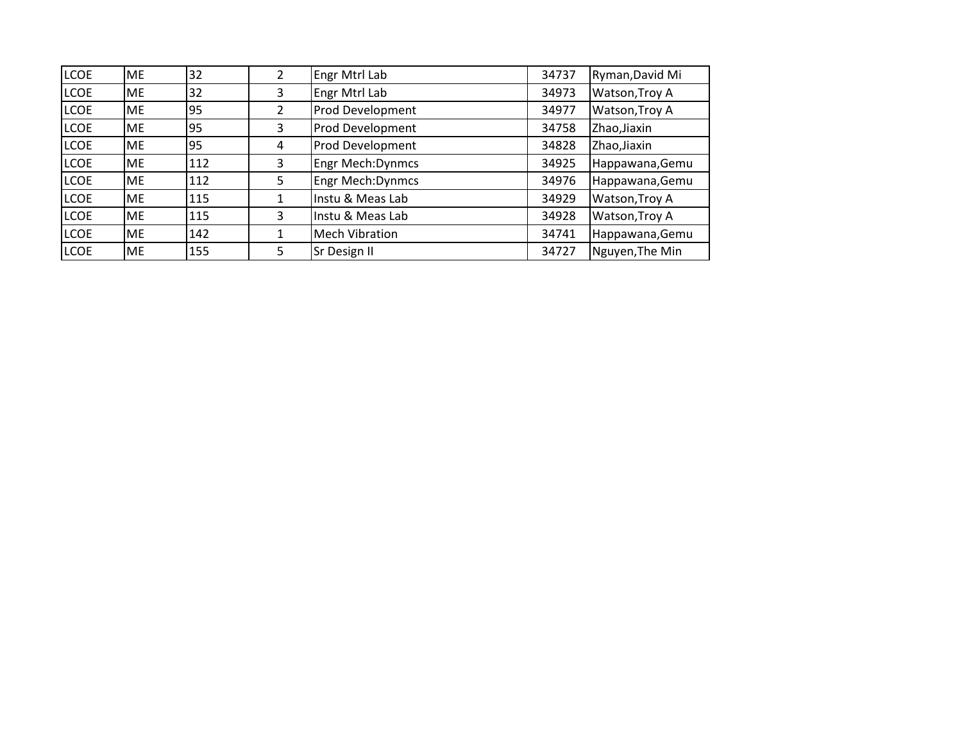| <b>LCOE</b> | ME        | 32  | 2              | Engr Mtrl Lab           | 34737 | Ryman, David Mi |
|-------------|-----------|-----|----------------|-------------------------|-------|-----------------|
| <b>LCOE</b> | ME        | 32  | 3              | Engr Mtrl Lab           | 34973 | Watson, Troy A  |
| <b>LCOE</b> | <b>ME</b> | 95  | $\overline{2}$ | <b>Prod Development</b> | 34977 | Watson, Troy A  |
| <b>LCOE</b> | <b>ME</b> | 95  | 3              | Prod Development        | 34758 | Zhao, Jiaxin    |
| <b>LCOE</b> | <b>ME</b> | 95  | 4              | <b>Prod Development</b> | 34828 | Zhao, Jiaxin    |
| <b>LCOE</b> | ME        | 112 | 3              | <b>Engr Mech:Dynmcs</b> | 34925 | Happawana, Gemu |
| <b>LCOE</b> | <b>ME</b> | 112 | 5              | Engr Mech: Dynmcs       | 34976 | Happawana, Gemu |
| <b>LCOE</b> | <b>ME</b> | 115 | 1              | Instu & Meas Lab        | 34929 | Watson, Troy A  |
| <b>LCOE</b> | <b>ME</b> | 115 | 3              | Instu & Meas Lab        | 34928 | Watson, Troy A  |
| <b>LCOE</b> | ME        | 142 | 1              | <b>Mech Vibration</b>   | 34741 | Happawana, Gemu |
| <b>LCOE</b> | ME        | 155 | 5              | Sr Design II            | 34727 | Nguyen, The Min |